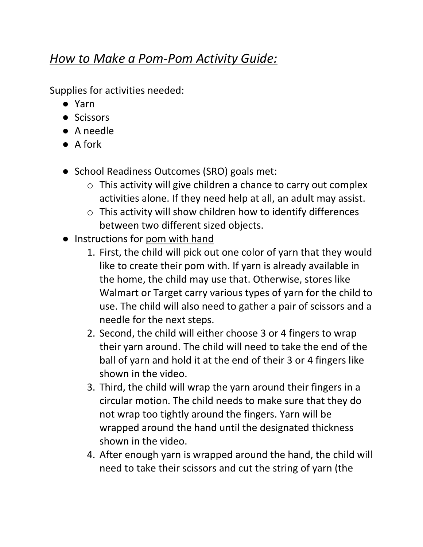## *How to Make a Pom-Pom Activity Guide:*

Supplies for activities needed:

- Yarn
- Scissors
- A needle
- A fork
- School Readiness Outcomes (SRO) goals met:
	- o This activity will give children a chance to carry out complex activities alone. If they need help at all, an adult may assist.
	- o This activity will show children how to identify differences between two different sized objects.
- Instructions for pom with hand
	- 1. First, the child will pick out one color of yarn that they would like to create their pom with. If yarn is already available in the home, the child may use that. Otherwise, stores like Walmart or Target carry various types of yarn for the child to use. The child will also need to gather a pair of scissors and a needle for the next steps.
	- 2. Second, the child will either choose 3 or 4 fingers to wrap their yarn around. The child will need to take the end of the ball of yarn and hold it at the end of their 3 or 4 fingers like shown in the video.
	- 3. Third, the child will wrap the yarn around their fingers in a circular motion. The child needs to make sure that they do not wrap too tightly around the fingers. Yarn will be wrapped around the hand until the designated thickness shown in the video.
	- 4. After enough yarn is wrapped around the hand, the child will need to take their scissors and cut the string of yarn (the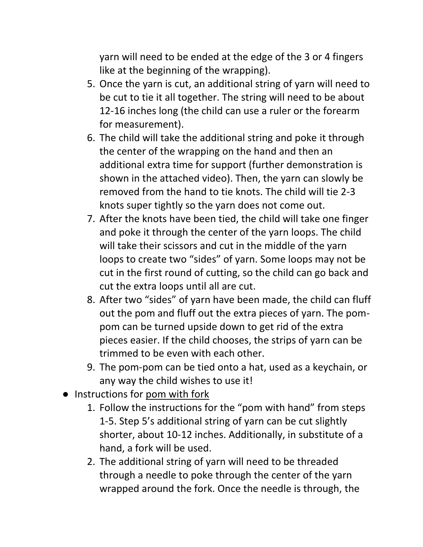yarn will need to be ended at the edge of the 3 or 4 fingers like at the beginning of the wrapping).

- 5. Once the yarn is cut, an additional string of yarn will need to be cut to tie it all together. The string will need to be about 12-16 inches long (the child can use a ruler or the forearm for measurement).
- 6. The child will take the additional string and poke it through the center of the wrapping on the hand and then an additional extra time for support (further demonstration is shown in the attached video). Then, the yarn can slowly be removed from the hand to tie knots. The child will tie 2-3 knots super tightly so the yarn does not come out.
- 7. After the knots have been tied, the child will take one finger and poke it through the center of the yarn loops. The child will take their scissors and cut in the middle of the yarn loops to create two "sides" of yarn. Some loops may not be cut in the first round of cutting, so the child can go back and cut the extra loops until all are cut.
- 8. After two "sides" of yarn have been made, the child can fluff out the pom and fluff out the extra pieces of yarn. The pompom can be turned upside down to get rid of the extra pieces easier. If the child chooses, the strips of yarn can be trimmed to be even with each other.
- 9. The pom-pom can be tied onto a hat, used as a keychain, or any way the child wishes to use it!
- Instructions for pom with fork
	- 1. Follow the instructions for the "pom with hand" from steps 1-5. Step 5's additional string of yarn can be cut slightly shorter, about 10-12 inches. Additionally, in substitute of a hand, a fork will be used.
	- 2. The additional string of yarn will need to be threaded through a needle to poke through the center of the yarn wrapped around the fork. Once the needle is through, the